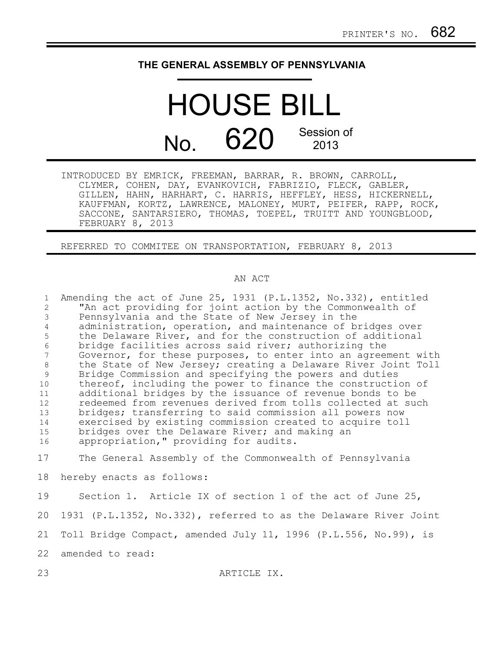## **THE GENERAL ASSEMBLY OF PENNSYLVANIA**

## HOUSE BILL No. 620 Session of

| INTRODUCED BY EMRICK, FREEMAN, BARRAR, R. BROWN, CARROLL,     |
|---------------------------------------------------------------|
| CLYMER, COHEN, DAY, EVANKOVICH, FABRIZIO, FLECK, GABLER,      |
| GILLEN, HAHN, HARHART, C. HARRIS, HEFFLEY, HESS, HICKERNELL,  |
| KAUFFMAN, KORTZ, LAWRENCE, MALONEY, MURT, PEIFER, RAPP, ROCK, |
| SACCONE, SANTARSIERO, THOMAS, TOEPEL, TRUITT AND YOUNGBLOOD,  |
| FEBRUARY 8, 2013                                              |

REFERRED TO COMMITEE ON TRANSPORTATION, FEBRUARY 8, 2013

## AN ACT

| $\mathbf{1}$      | Amending the act of June 25, 1931 (P.L.1352, No.332), entitled   |
|-------------------|------------------------------------------------------------------|
| 2                 | "An act providing for joint action by the Commonwealth of        |
| $\mathfrak{Z}$    | Pennsylvania and the State of New Jersey in the                  |
| $\overline{4}$    | administration, operation, and maintenance of bridges over       |
| 5                 | the Delaware River, and for the construction of additional       |
| $\epsilon$        | bridge facilities across said river; authorizing the             |
| 7                 | Governor, for these purposes, to enter into an agreement with    |
| 8                 | the State of New Jersey; creating a Delaware River Joint Toll    |
| 9                 | Bridge Commission and specifying the powers and duties           |
| 10                | thereof, including the power to finance the construction of      |
| 11                | additional bridges by the issuance of revenue bonds to be        |
| $12 \overline{ }$ | redeemed from revenues derived from tolls collected at such      |
| 13                | bridges; transferring to said commission all powers now          |
| 14                | exercised by existing commission created to acquire toll         |
| 15                | bridges over the Delaware River; and making an                   |
| 16                | appropriation, " providing for audits.                           |
| 17                | The General Assembly of the Commonwealth of Pennsylvania         |
| 18                | hereby enacts as follows:                                        |
| 19                | Section 1. Article IX of section 1 of the act of June 25,        |
| 20                | 1931 (P.L.1352, No.332), referred to as the Delaware River Joint |
| 21                | Toll Bridge Compact, amended July 11, 1996 (P.L.556, No.99), is  |
| 22                | amended to read:                                                 |
| 23                | ARTICLE IX.                                                      |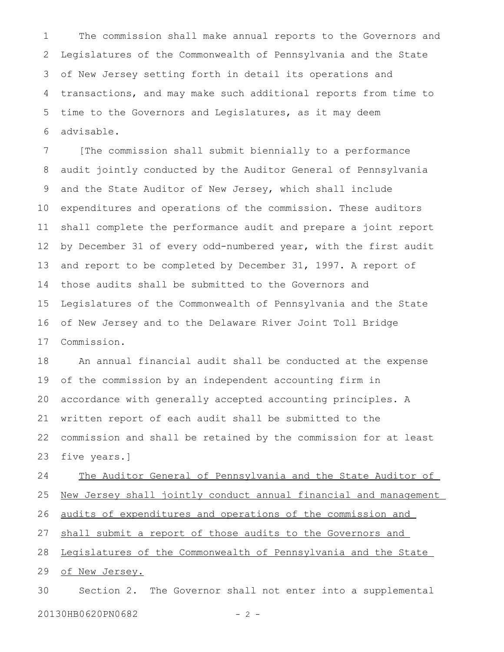The commission shall make annual reports to the Governors and Legislatures of the Commonwealth of Pennsylvania and the State of New Jersey setting forth in detail its operations and transactions, and may make such additional reports from time to time to the Governors and Legislatures, as it may deem advisable. 1 2 3 4 5 6

[The commission shall submit biennially to a performance audit jointly conducted by the Auditor General of Pennsylvania and the State Auditor of New Jersey, which shall include expenditures and operations of the commission. These auditors shall complete the performance audit and prepare a joint report by December 31 of every odd-numbered year, with the first audit and report to be completed by December 31, 1997. A report of those audits shall be submitted to the Governors and Legislatures of the Commonwealth of Pennsylvania and the State of New Jersey and to the Delaware River Joint Toll Bridge Commission. 7 8 9 10 11 12 13 14 15 16 17

An annual financial audit shall be conducted at the expense of the commission by an independent accounting firm in accordance with generally accepted accounting principles. A written report of each audit shall be submitted to the commission and shall be retained by the commission for at least five years.] 18 19 20 21 22 23

The Auditor General of Pennsylvania and the State Auditor of New Jersey shall jointly conduct annual financial and management audits of expenditures and operations of the commission and shall submit a report of those audits to the Governors and Legislatures of the Commonwealth of Pennsylvania and the State of New Jersey. Section 2. The Governor shall not enter into a supplemental 24 25 26 27 28 29 30

20130HB0620PN0682 - 2 -